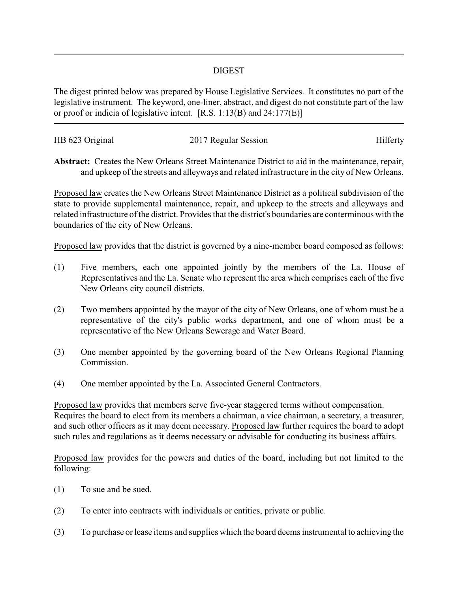## DIGEST

The digest printed below was prepared by House Legislative Services. It constitutes no part of the legislative instrument. The keyword, one-liner, abstract, and digest do not constitute part of the law or proof or indicia of legislative intent. [R.S. 1:13(B) and 24:177(E)]

| HB 623 Original | 2017 Regular Session | Hilferty |
|-----------------|----------------------|----------|
|                 |                      |          |

**Abstract:** Creates the New Orleans Street Maintenance District to aid in the maintenance, repair, and upkeep of the streets and alleyways and related infrastructure in the city of New Orleans.

Proposed law creates the New Orleans Street Maintenance District as a political subdivision of the state to provide supplemental maintenance, repair, and upkeep to the streets and alleyways and related infrastructure of the district. Provides that the district's boundaries are conterminous with the boundaries of the city of New Orleans.

Proposed law provides that the district is governed by a nine-member board composed as follows:

- (1) Five members, each one appointed jointly by the members of the La. House of Representatives and the La. Senate who represent the area which comprises each of the five New Orleans city council districts.
- (2) Two members appointed by the mayor of the city of New Orleans, one of whom must be a representative of the city's public works department, and one of whom must be a representative of the New Orleans Sewerage and Water Board.
- (3) One member appointed by the governing board of the New Orleans Regional Planning Commission.
- (4) One member appointed by the La. Associated General Contractors.

Proposed law provides that members serve five-year staggered terms without compensation. Requires the board to elect from its members a chairman, a vice chairman, a secretary, a treasurer, and such other officers as it may deem necessary. Proposed law further requires the board to adopt such rules and regulations as it deems necessary or advisable for conducting its business affairs.

Proposed law provides for the powers and duties of the board, including but not limited to the following:

- (1) To sue and be sued.
- (2) To enter into contracts with individuals or entities, private or public.
- (3) To purchase or lease items and supplies which the board deems instrumental to achieving the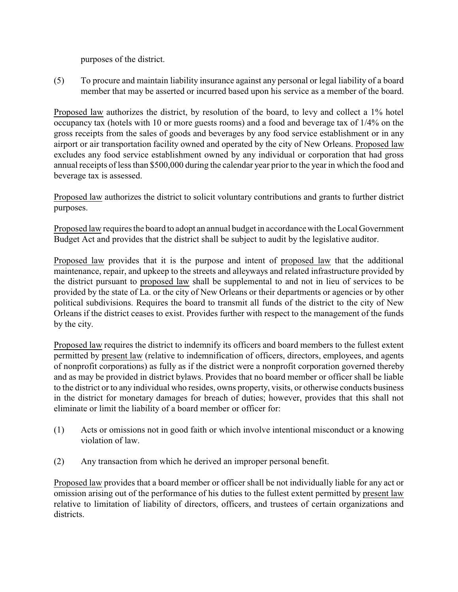purposes of the district.

(5) To procure and maintain liability insurance against any personal or legal liability of a board member that may be asserted or incurred based upon his service as a member of the board.

Proposed law authorizes the district, by resolution of the board, to levy and collect a 1% hotel occupancy tax (hotels with 10 or more guests rooms) and a food and beverage tax of 1/4% on the gross receipts from the sales of goods and beverages by any food service establishment or in any airport or air transportation facility owned and operated by the city of New Orleans. Proposed law excludes any food service establishment owned by any individual or corporation that had gross annual receipts of less than \$500,000 during the calendar year prior to the year in which the food and beverage tax is assessed.

Proposed law authorizes the district to solicit voluntary contributions and grants to further district purposes.

Proposed law requires the board to adopt an annual budget in accordance with the Local Government Budget Act and provides that the district shall be subject to audit by the legislative auditor.

Proposed law provides that it is the purpose and intent of proposed law that the additional maintenance, repair, and upkeep to the streets and alleyways and related infrastructure provided by the district pursuant to proposed law shall be supplemental to and not in lieu of services to be provided by the state of La. or the city of New Orleans or their departments or agencies or by other political subdivisions. Requires the board to transmit all funds of the district to the city of New Orleans if the district ceases to exist. Provides further with respect to the management of the funds by the city.

Proposed law requires the district to indemnify its officers and board members to the fullest extent permitted by present law (relative to indemnification of officers, directors, employees, and agents of nonprofit corporations) as fully as if the district were a nonprofit corporation governed thereby and as may be provided in district bylaws. Provides that no board member or officer shall be liable to the district or to any individual who resides, owns property, visits, or otherwise conducts business in the district for monetary damages for breach of duties; however, provides that this shall not eliminate or limit the liability of a board member or officer for:

- (1) Acts or omissions not in good faith or which involve intentional misconduct or a knowing violation of law.
- (2) Any transaction from which he derived an improper personal benefit.

Proposed law provides that a board member or officer shall be not individually liable for any act or omission arising out of the performance of his duties to the fullest extent permitted by present law relative to limitation of liability of directors, officers, and trustees of certain organizations and districts.